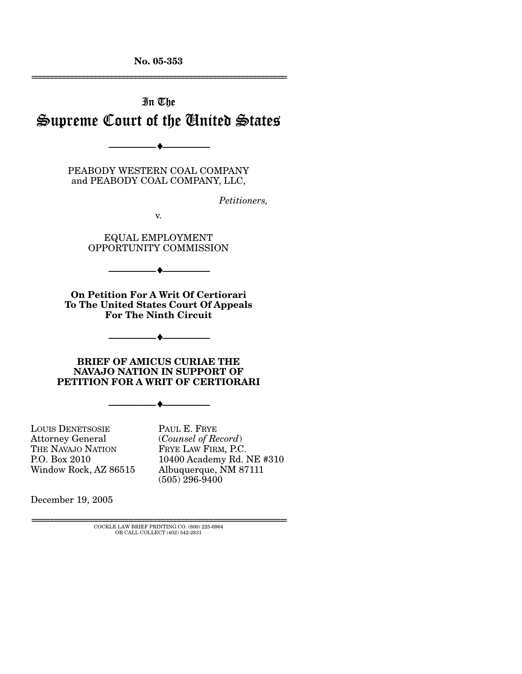**No. 05-353**  ================================================================

# In The Supreme Court of the United States

PEABODY WESTERN COAL COMPANY and PEABODY COAL COMPANY, LLC,

--------------------------------- ♦ ---------------------------------

*Petitioners,* 

v.

EQUAL EMPLOYMENT OPPORTUNITY COMMISSION

**On Petition For A Writ Of Certiorari To The United States Court Of Appeals For The Ninth Circuit** 

--------------------------------- ♦ ---------------------------------

--------------------------------- ♦ ---------------------------------

**BRIEF OF AMICUS CURIAE THE NAVAJO NATION IN SUPPORT OF PETITION FOR A WRIT OF CERTIORARI** 

--------------------------------- ♦ ---------------------------------

LOUIS DENETSOSIE Attorney General THE NAVAJO NATION P.O. Box 2010 Window Rock, AZ 86515

PAUL E. FRYE (*Counsel of Record*) FRYE LAW FIRM, P.C. 10400 Academy Rd. NE #310 Albuquerque, NM 87111 (505) 296-9400

December 19, 2005

================================================================ COCKLE LAW BRIEF PRINTING CO. (800) 225-6964 OR CALL COLLECT (402) 342-2831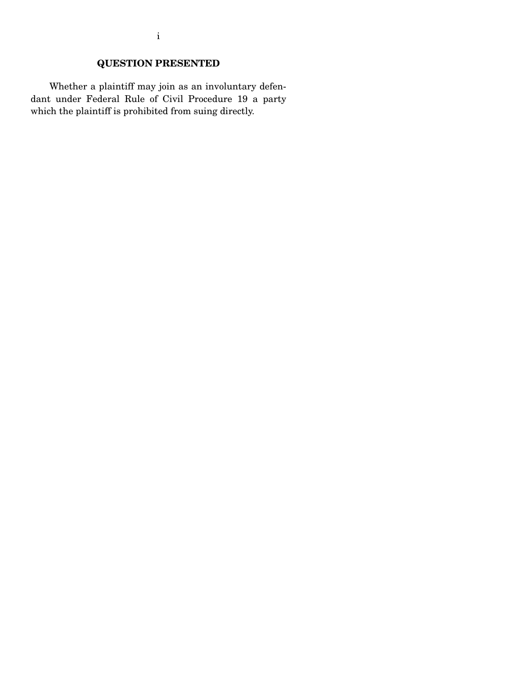# **QUESTION PRESENTED**

 Whether a plaintiff may join as an involuntary defendant under Federal Rule of Civil Procedure 19 a party which the plaintiff is prohibited from suing directly.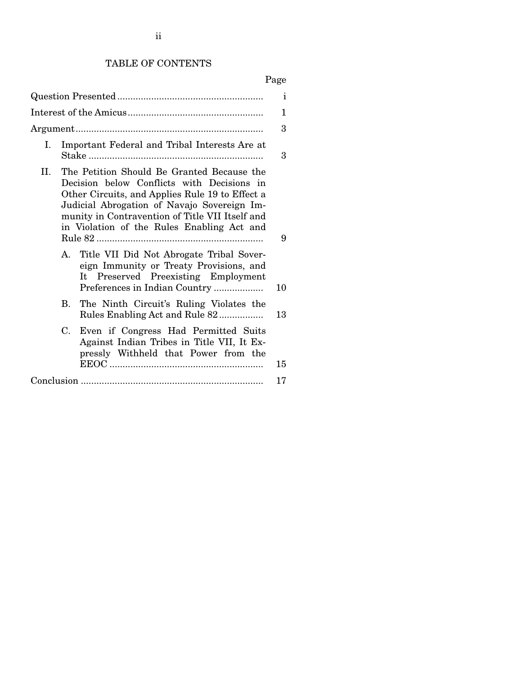# Page

|         |                                                                                                                                                                                                                                                                                             |                                                                                                                                                                | 3  |  |
|---------|---------------------------------------------------------------------------------------------------------------------------------------------------------------------------------------------------------------------------------------------------------------------------------------------|----------------------------------------------------------------------------------------------------------------------------------------------------------------|----|--|
| Ι.      |                                                                                                                                                                                                                                                                                             | Important Federal and Tribal Interests Are at                                                                                                                  | 3  |  |
| $\Pi$ . | The Petition Should Be Granted Because the<br>Decision below Conflicts with Decisions in<br>Other Circuits, and Applies Rule 19 to Effect a<br>Judicial Abrogation of Navajo Sovereign Im-<br>munity in Contravention of Title VII Itself and<br>in Violation of the Rules Enabling Act and |                                                                                                                                                                |    |  |
|         |                                                                                                                                                                                                                                                                                             | A. Title VII Did Not Abrogate Tribal Sover-<br>eign Immunity or Treaty Provisions, and<br>It Preserved Preexisting Employment<br>Preferences in Indian Country | 10 |  |
|         |                                                                                                                                                                                                                                                                                             | B. The Ninth Circuit's Ruling Violates the<br>Rules Enabling Act and Rule 82                                                                                   | 13 |  |
|         | $C_{\cdot}$                                                                                                                                                                                                                                                                                 | Even if Congress Had Permitted Suits<br>Against Indian Tribes in Title VII, It Ex-<br>pressly Withheld that Power from the                                     | 15 |  |
|         |                                                                                                                                                                                                                                                                                             |                                                                                                                                                                | 17 |  |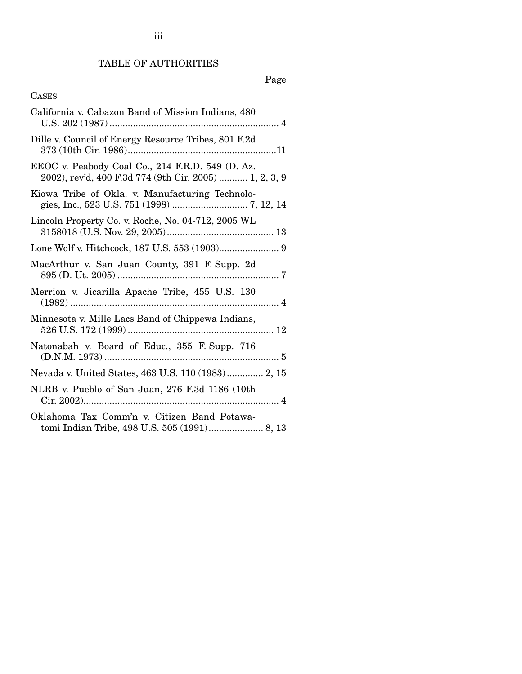# TABLE OF AUTHORITIES

# Page

# CASES

| California v. Cabazon Band of Mission Indians, 480                                                         |
|------------------------------------------------------------------------------------------------------------|
| Dille v. Council of Energy Resource Tribes, 801 F.2d                                                       |
| EEOC v. Peabody Coal Co., 214 F.R.D. 549 (D. Az.<br>2002), rev'd, 400 F.3d 774 (9th Cir. 2005)  1, 2, 3, 9 |
| Kiowa Tribe of Okla. v. Manufacturing Technolo-                                                            |
| Lincoln Property Co. v. Roche, No. 04-712, 2005 WL                                                         |
|                                                                                                            |
| MacArthur v. San Juan County, 391 F. Supp. 2d                                                              |
| Merrion v. Jicarilla Apache Tribe, 455 U.S. 130                                                            |
| Minnesota v. Mille Lacs Band of Chippewa Indians,                                                          |
| Natonabah v. Board of Educ., 355 F. Supp. 716                                                              |
| Nevada v. United States, 463 U.S. 110 (1983) 2, 15                                                         |
| NLRB v. Pueblo of San Juan, 276 F.3d 1186 (10th                                                            |
| Oklahoma Tax Comm'n v. Citizen Band Potawa-                                                                |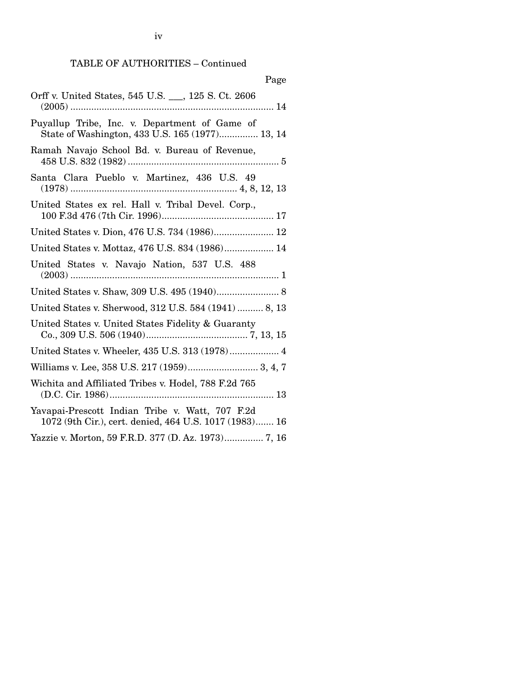TABLE OF AUTHORITIES – Continued

|--|

| Orff v. United States, 545 U.S. 125 S. Ct. 2606                                                           |  |  |  |
|-----------------------------------------------------------------------------------------------------------|--|--|--|
| Puyallup Tribe, Inc. v. Department of Game of<br>State of Washington, 433 U.S. 165 (1977) 13, 14          |  |  |  |
| Ramah Navajo School Bd. v. Bureau of Revenue,                                                             |  |  |  |
| Santa Clara Pueblo v. Martinez, 436 U.S. 49                                                               |  |  |  |
| United States ex rel. Hall v. Tribal Devel. Corp.,                                                        |  |  |  |
| United States v. Dion, 476 U.S. 734 (1986) 12                                                             |  |  |  |
| United States v. Mottaz, 476 U.S. 834 (1986) 14                                                           |  |  |  |
| United States v. Navajo Nation, 537 U.S. 488                                                              |  |  |  |
|                                                                                                           |  |  |  |
| United States v. Sherwood, 312 U.S. 584 (1941)  8, 13                                                     |  |  |  |
| United States v. United States Fidelity & Guaranty                                                        |  |  |  |
| United States v. Wheeler, 435 U.S. 313 (1978) 4                                                           |  |  |  |
| Williams v. Lee, 358 U.S. 217 (1959) 3, 4, 7                                                              |  |  |  |
| Wichita and Affiliated Tribes v. Hodel, 788 F.2d 765                                                      |  |  |  |
| Yavapai-Prescott Indian Tribe v. Watt, 707 F.2d<br>1072 (9th Cir.), cert. denied, 464 U.S. 1017 (1983) 16 |  |  |  |
| Yazzie v. Morton, 59 F.R.D. 377 (D. Az. 1973) 7, 16                                                       |  |  |  |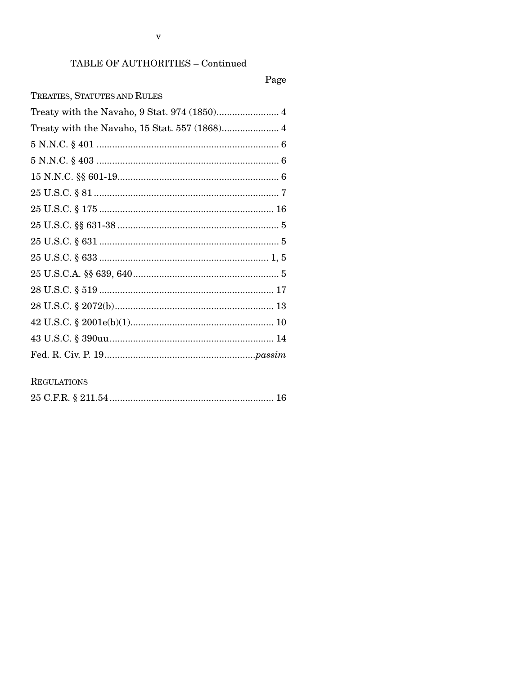$\mathbf{V}$ 

# TABLE OF AUTHORITIES - Continued

# Page

**REGULATIONS** 

|--|--|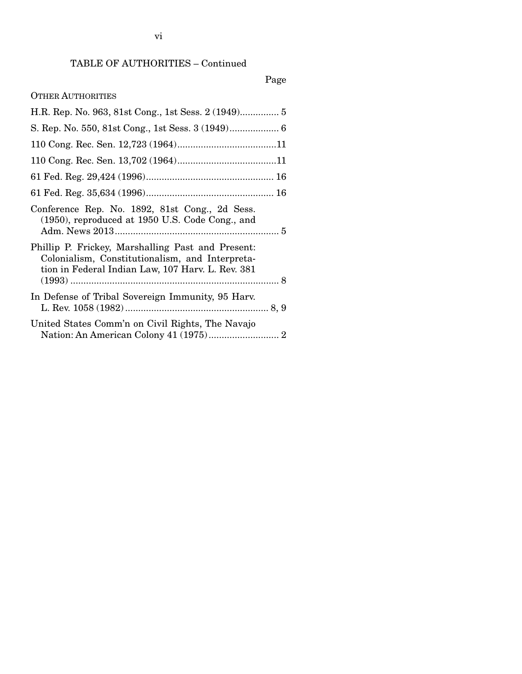# Page

## OTHER AUTHORITIES

| Conference Rep. No. 1892, 81st Cong., 2d Sess.<br>$(1950)$ , reproduced at 1950 U.S. Code Cong., and                                                      |
|-----------------------------------------------------------------------------------------------------------------------------------------------------------|
| Phillip P. Frickey, Marshalling Past and Present:<br>Colonialism, Constitutionalism, and Interpreta-<br>tion in Federal Indian Law, 107 Harv. L. Rev. 381 |
| In Defense of Tribal Sovereign Immunity, 95 Harv.                                                                                                         |
| United States Comm'n on Civil Rights, The Navajo                                                                                                          |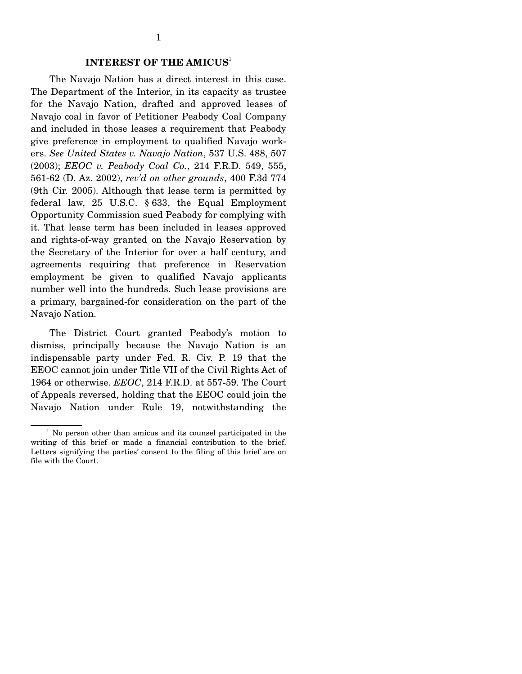#### **INTEREST OF THE AMICUS**<sup>1</sup>

 The Navajo Nation has a direct interest in this case. The Department of the Interior, in its capacity as trustee for the Navajo Nation, drafted and approved leases of Navajo coal in favor of Petitioner Peabody Coal Company and included in those leases a requirement that Peabody give preference in employment to qualified Navajo workers. *See United States v. Navajo Nation*, 537 U.S. 488, 507 (2003); *EEOC v. Peabody Coal Co.*, 214 F.R.D. 549, 555, 561-62 (D. Az. 2002), *rev'd on other grounds*, 400 F.3d 774 (9th Cir. 2005). Although that lease term is permitted by federal law, 25 U.S.C. § 633, the Equal Employment Opportunity Commission sued Peabody for complying with it. That lease term has been included in leases approved and rights-of-way granted on the Navajo Reservation by the Secretary of the Interior for over a half century, and agreements requiring that preference in Reservation employment be given to qualified Navajo applicants number well into the hundreds. Such lease provisions are a primary, bargained-for consideration on the part of the Navajo Nation.

 The District Court granted Peabody's motion to dismiss, principally because the Navajo Nation is an indispensable party under Fed. R. Civ. P. 19 that the EEOC cannot join under Title VII of the Civil Rights Act of 1964 or otherwise. *EEOC*, 214 F.R.D. at 557-59. The Court of Appeals reversed, holding that the EEOC could join the Navajo Nation under Rule 19, notwithstanding the

<sup>&</sup>lt;sup>1</sup> No person other than amicus and its counsel participated in the writing of this brief or made a financial contribution to the brief. Letters signifying the parties' consent to the filing of this brief are on file with the Court.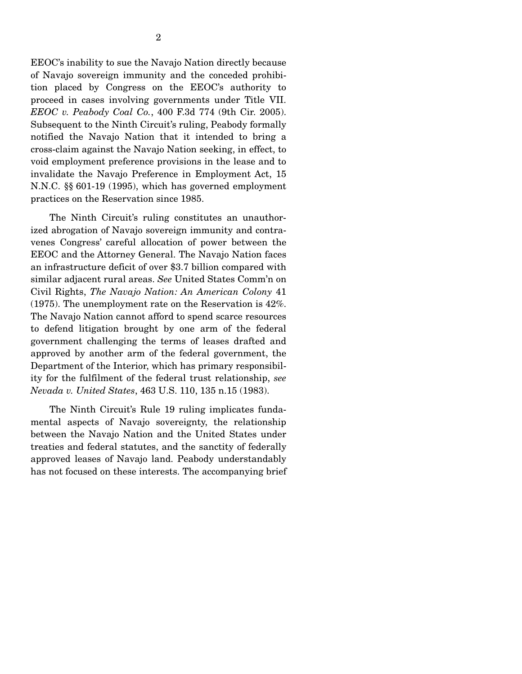EEOC's inability to sue the Navajo Nation directly because of Navajo sovereign immunity and the conceded prohibition placed by Congress on the EEOC's authority to proceed in cases involving governments under Title VII. *EEOC v. Peabody Coal Co.*, 400 F.3d 774 (9th Cir. 2005). Subsequent to the Ninth Circuit's ruling, Peabody formally notified the Navajo Nation that it intended to bring a cross-claim against the Navajo Nation seeking, in effect, to void employment preference provisions in the lease and to invalidate the Navajo Preference in Employment Act, 15 N.N.C. §§ 601-19 (1995), which has governed employment practices on the Reservation since 1985.

 The Ninth Circuit's ruling constitutes an unauthorized abrogation of Navajo sovereign immunity and contravenes Congress' careful allocation of power between the EEOC and the Attorney General. The Navajo Nation faces an infrastructure deficit of over \$3.7 billion compared with similar adjacent rural areas. *See* United States Comm'n on Civil Rights, *The Navajo Nation: An American Colony* 41 (1975). The unemployment rate on the Reservation is 42%. The Navajo Nation cannot afford to spend scarce resources to defend litigation brought by one arm of the federal government challenging the terms of leases drafted and approved by another arm of the federal government, the Department of the Interior, which has primary responsibility for the fulfilment of the federal trust relationship, *see Nevada v. United States*, 463 U.S. 110, 135 n.15 (1983).

 The Ninth Circuit's Rule 19 ruling implicates fundamental aspects of Navajo sovereignty, the relationship between the Navajo Nation and the United States under treaties and federal statutes, and the sanctity of federally approved leases of Navajo land. Peabody understandably has not focused on these interests. The accompanying brief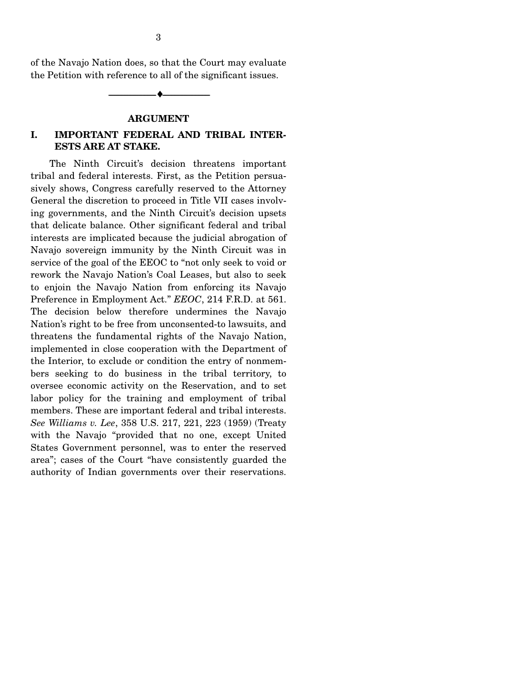of the Navajo Nation does, so that the Court may evaluate the Petition with reference to all of the significant issues.

--------------------------------- ♦ ---------------------------------

#### **ARGUMENT**

### **I. IMPORTANT FEDERAL AND TRIBAL INTER-ESTS ARE AT STAKE.**

 The Ninth Circuit's decision threatens important tribal and federal interests. First, as the Petition persuasively shows, Congress carefully reserved to the Attorney General the discretion to proceed in Title VII cases involving governments, and the Ninth Circuit's decision upsets that delicate balance. Other significant federal and tribal interests are implicated because the judicial abrogation of Navajo sovereign immunity by the Ninth Circuit was in service of the goal of the EEOC to "not only seek to void or rework the Navajo Nation's Coal Leases, but also to seek to enjoin the Navajo Nation from enforcing its Navajo Preference in Employment Act." *EEOC*, 214 F.R.D. at 561. The decision below therefore undermines the Navajo Nation's right to be free from unconsented-to lawsuits, and threatens the fundamental rights of the Navajo Nation, implemented in close cooperation with the Department of the Interior, to exclude or condition the entry of nonmembers seeking to do business in the tribal territory, to oversee economic activity on the Reservation, and to set labor policy for the training and employment of tribal members. These are important federal and tribal interests. *See Williams v. Lee*, 358 U.S. 217, 221, 223 (1959) (Treaty with the Navajo "provided that no one, except United States Government personnel, was to enter the reserved area"; cases of the Court "have consistently guarded the authority of Indian governments over their reservations.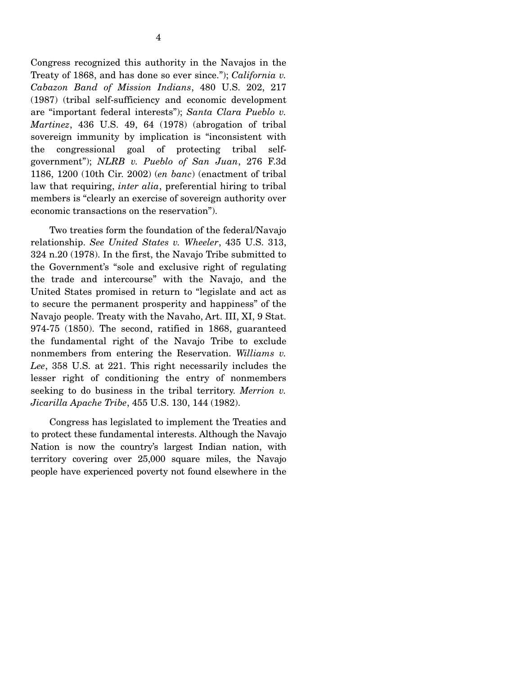Congress recognized this authority in the Navajos in the Treaty of 1868, and has done so ever since."); *California v. Cabazon Band of Mission Indians*, 480 U.S. 202, 217 (1987) (tribal self-sufficiency and economic development are "important federal interests"); *Santa Clara Pueblo v. Martinez*, 436 U.S. 49, 64 (1978) (abrogation of tribal sovereign immunity by implication is "inconsistent with the congressional goal of protecting tribal selfgovernment"); *NLRB v. Pueblo of San Juan*, 276 F.3d 1186, 1200 (10th Cir. 2002) (*en banc*) (enactment of tribal law that requiring, *inter alia*, preferential hiring to tribal members is "clearly an exercise of sovereign authority over economic transactions on the reservation").

 Two treaties form the foundation of the federal/Navajo relationship. *See United States v. Wheeler*, 435 U.S. 313, 324 n.20 (1978). In the first, the Navajo Tribe submitted to the Government's "sole and exclusive right of regulating the trade and intercourse" with the Navajo, and the United States promised in return to "legislate and act as to secure the permanent prosperity and happiness" of the Navajo people. Treaty with the Navaho, Art. III, XI, 9 Stat. 974-75 (1850). The second, ratified in 1868, guaranteed the fundamental right of the Navajo Tribe to exclude nonmembers from entering the Reservation. *Williams v. Lee*, 358 U.S. at 221. This right necessarily includes the lesser right of conditioning the entry of nonmembers seeking to do business in the tribal territory. *Merrion v. Jicarilla Apache Tribe*, 455 U.S. 130, 144 (1982).

 Congress has legislated to implement the Treaties and to protect these fundamental interests. Although the Navajo Nation is now the country's largest Indian nation, with territory covering over 25,000 square miles, the Navajo people have experienced poverty not found elsewhere in the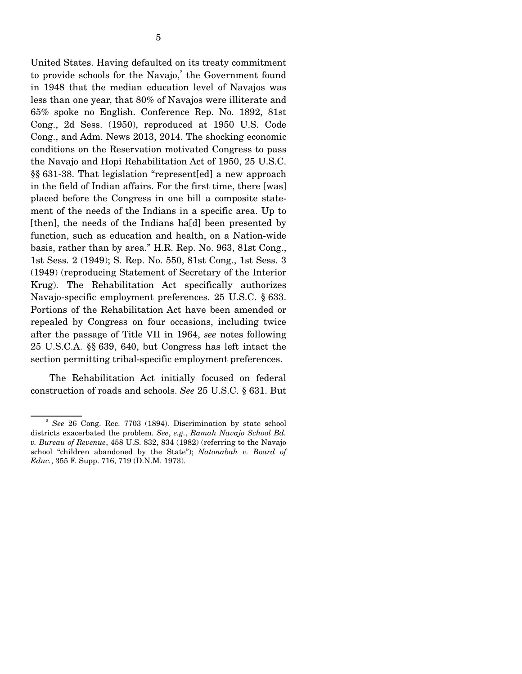United States. Having defaulted on its treaty commitment to provide schools for the Navajo, $2$  the Government found in 1948 that the median education level of Navajos was less than one year, that 80% of Navajos were illiterate and 65% spoke no English. Conference Rep. No. 1892, 81st Cong., 2d Sess. (1950), reproduced at 1950 U.S. Code Cong., and Adm. News 2013, 2014. The shocking economic conditions on the Reservation motivated Congress to pass the Navajo and Hopi Rehabilitation Act of 1950, 25 U.S.C. §§ 631-38. That legislation "represent[ed] a new approach in the field of Indian affairs. For the first time, there [was] placed before the Congress in one bill a composite statement of the needs of the Indians in a specific area. Up to [then], the needs of the Indians ha[d] been presented by function, such as education and health, on a Nation-wide basis, rather than by area." H.R. Rep. No. 963, 81st Cong., 1st Sess. 2 (1949); S. Rep. No. 550, 81st Cong., 1st Sess. 3 (1949) (reproducing Statement of Secretary of the Interior Krug). The Rehabilitation Act specifically authorizes Navajo-specific employment preferences. 25 U.S.C. § 633. Portions of the Rehabilitation Act have been amended or repealed by Congress on four occasions, including twice after the passage of Title VII in 1964, *see* notes following 25 U.S.C.A. §§ 639, 640, but Congress has left intact the section permitting tribal-specific employment preferences.

 The Rehabilitation Act initially focused on federal construction of roads and schools. *See* 25 U.S.C. § 631. But

<sup>2</sup> *See* 26 Cong. Rec. 7703 (1894). Discrimination by state school districts exacerbated the problem. *See*, *e.g.*, *Ramah Navajo School Bd. v. Bureau of Revenue*, 458 U.S. 832, 834 (1982) (referring to the Navajo school "children abandoned by the State"); *Natonabah v. Board of Educ.*, 355 F. Supp. 716, 719 (D.N.M. 1973).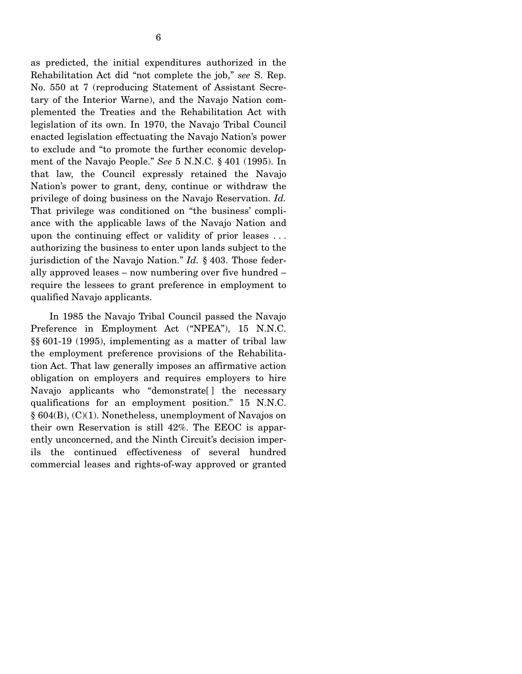as predicted, the initial expenditures authorized in the Rehabilitation Act did "not complete the job," *see* S. Rep. No. 550 at 7 (reproducing Statement of Assistant Secretary of the Interior Warne), and the Navajo Nation complemented the Treaties and the Rehabilitation Act with legislation of its own. In 1970, the Navajo Tribal Council enacted legislation effectuating the Navajo Nation's power to exclude and "to promote the further economic development of the Navajo People." *See* 5 N.N.C. § 401 (1995). In that law, the Council expressly retained the Navajo Nation's power to grant, deny, continue or withdraw the privilege of doing business on the Navajo Reservation. *Id.* That privilege was conditioned on "the business' compliance with the applicable laws of the Navajo Nation and upon the continuing effect or validity of prior leases . . . authorizing the business to enter upon lands subject to the jurisdiction of the Navajo Nation." *Id.* § 403. Those federally approved leases – now numbering over five hundred – require the lessees to grant preference in employment to qualified Navajo applicants.

 In 1985 the Navajo Tribal Council passed the Navajo Preference in Employment Act ("NPEA"), 15 N.N.C. §§ 601-19 (1995), implementing as a matter of tribal law the employment preference provisions of the Rehabilitation Act. That law generally imposes an affirmative action obligation on employers and requires employers to hire Navajo applicants who "demonstrate<sup>[]</sup> the necessary qualifications for an employment position." 15 N.N.C. § 604(B), (C)(1). Nonetheless, unemployment of Navajos on their own Reservation is still 42%. The EEOC is apparently unconcerned, and the Ninth Circuit's decision imperils the continued effectiveness of several hundred commercial leases and rights-of-way approved or granted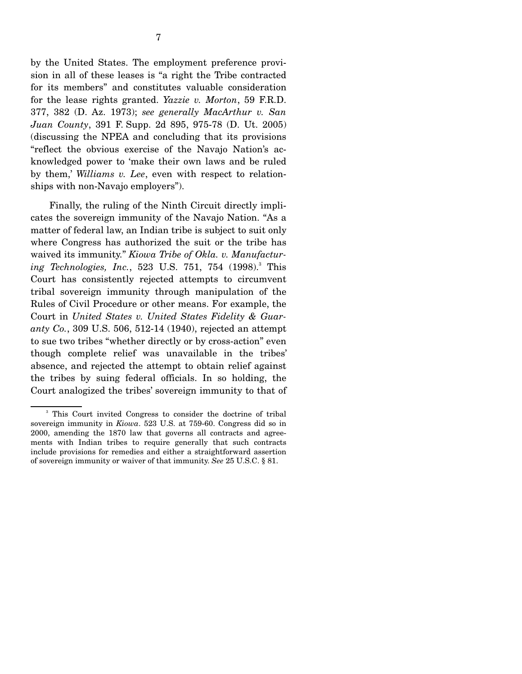by the United States. The employment preference provision in all of these leases is "a right the Tribe contracted for its members" and constitutes valuable consideration for the lease rights granted. *Yazzie v. Morton*, 59 F.R.D. 377, 382 (D. Az. 1973); *see generally MacArthur v. San Juan County*, 391 F. Supp. 2d 895, 975-78 (D. Ut. 2005) (discussing the NPEA and concluding that its provisions "reflect the obvious exercise of the Navajo Nation's acknowledged power to 'make their own laws and be ruled by them,' *Williams v. Lee*, even with respect to relationships with non-Navajo employers").

 Finally, the ruling of the Ninth Circuit directly implicates the sovereign immunity of the Navajo Nation. "As a matter of federal law, an Indian tribe is subject to suit only where Congress has authorized the suit or the tribe has waived its immunity." *Kiowa Tribe of Okla. v. Manufactur*ing Technologies, Inc., 523 U.S. 751, 754 (1998).<sup>3</sup> This Court has consistently rejected attempts to circumvent tribal sovereign immunity through manipulation of the Rules of Civil Procedure or other means. For example, the Court in *United States v. United States Fidelity & Guaranty Co.*, 309 U.S. 506, 512-14 (1940), rejected an attempt to sue two tribes "whether directly or by cross-action" even though complete relief was unavailable in the tribes' absence, and rejected the attempt to obtain relief against the tribes by suing federal officials. In so holding, the Court analogized the tribes' sovereign immunity to that of

<sup>&</sup>lt;sup>3</sup> This Court invited Congress to consider the doctrine of tribal sovereign immunity in *Kiowa*. 523 U.S. at 759-60. Congress did so in 2000, amending the 1870 law that governs all contracts and agreements with Indian tribes to require generally that such contracts include provisions for remedies and either a straightforward assertion of sovereign immunity or waiver of that immunity. *See* 25 U.S.C. § 81.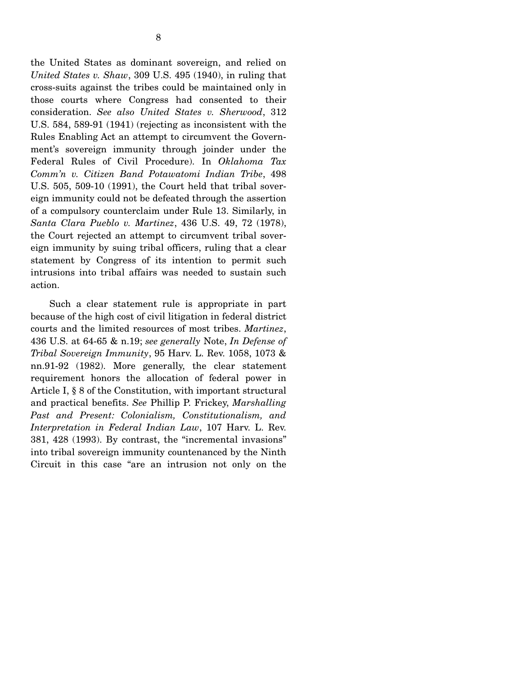the United States as dominant sovereign, and relied on *United States v. Shaw*, 309 U.S. 495 (1940), in ruling that cross-suits against the tribes could be maintained only in those courts where Congress had consented to their consideration. *See also United States v. Sherwood*, 312 U.S. 584, 589-91 (1941) (rejecting as inconsistent with the Rules Enabling Act an attempt to circumvent the Government's sovereign immunity through joinder under the Federal Rules of Civil Procedure). In *Oklahoma Tax Comm'n v. Citizen Band Potawatomi Indian Tribe*, 498 U.S. 505, 509-10 (1991), the Court held that tribal sovereign immunity could not be defeated through the assertion of a compulsory counterclaim under Rule 13. Similarly, in *Santa Clara Pueblo v. Martinez*, 436 U.S. 49, 72 (1978), the Court rejected an attempt to circumvent tribal sovereign immunity by suing tribal officers, ruling that a clear statement by Congress of its intention to permit such intrusions into tribal affairs was needed to sustain such action.

 Such a clear statement rule is appropriate in part because of the high cost of civil litigation in federal district courts and the limited resources of most tribes. *Martinez*, 436 U.S. at 64-65 & n.19; *see generally* Note, *In Defense of Tribal Sovereign Immunity*, 95 Harv. L. Rev. 1058, 1073 & nn.91-92 (1982). More generally, the clear statement requirement honors the allocation of federal power in Article I, § 8 of the Constitution, with important structural and practical benefits. *See* Phillip P. Frickey, *Marshalling Past and Present: Colonialism, Constitutionalism, and Interpretation in Federal Indian Law*, 107 Harv. L. Rev. 381, 428 (1993). By contrast, the "incremental invasions" into tribal sovereign immunity countenanced by the Ninth Circuit in this case "are an intrusion not only on the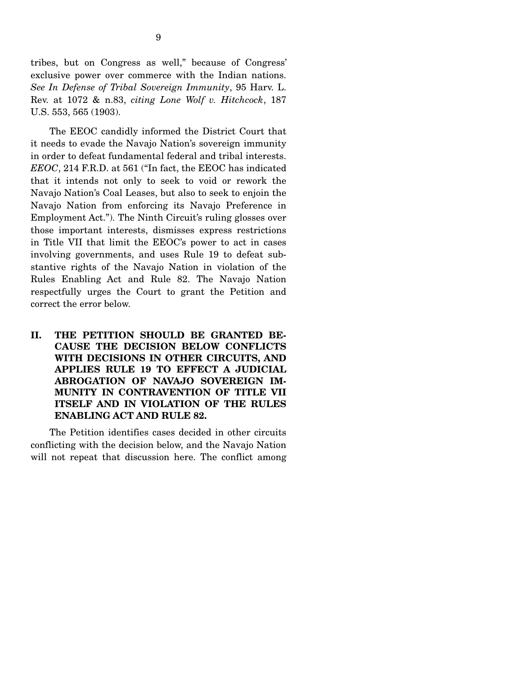tribes, but on Congress as well," because of Congress' exclusive power over commerce with the Indian nations. *See In Defense of Tribal Sovereign Immunity*, 95 Harv. L. Rev. at 1072 & n.83, *citing Lone Wolf v. Hitchcock*, 187 U.S. 553, 565 (1903).

 The EEOC candidly informed the District Court that it needs to evade the Navajo Nation's sovereign immunity in order to defeat fundamental federal and tribal interests. *EEOC*, 214 F.R.D. at 561 ("In fact, the EEOC has indicated that it intends not only to seek to void or rework the Navajo Nation's Coal Leases, but also to seek to enjoin the Navajo Nation from enforcing its Navajo Preference in Employment Act."). The Ninth Circuit's ruling glosses over those important interests, dismisses express restrictions in Title VII that limit the EEOC's power to act in cases involving governments, and uses Rule 19 to defeat substantive rights of the Navajo Nation in violation of the Rules Enabling Act and Rule 82. The Navajo Nation respectfully urges the Court to grant the Petition and correct the error below.

**II. THE PETITION SHOULD BE GRANTED BE-CAUSE THE DECISION BELOW CONFLICTS WITH DECISIONS IN OTHER CIRCUITS, AND APPLIES RULE 19 TO EFFECT A JUDICIAL ABROGATION OF NAVAJO SOVEREIGN IM-MUNITY IN CONTRAVENTION OF TITLE VII ITSELF AND IN VIOLATION OF THE RULES ENABLING ACT AND RULE 82.** 

 The Petition identifies cases decided in other circuits conflicting with the decision below, and the Navajo Nation will not repeat that discussion here. The conflict among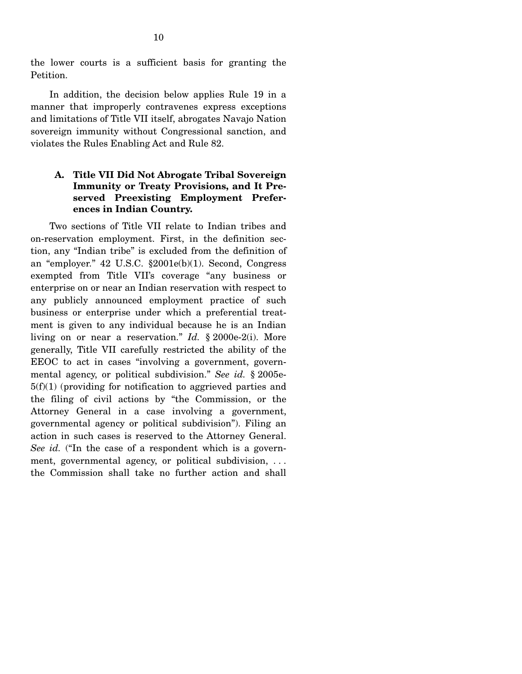the lower courts is a sufficient basis for granting the Petition.

 In addition, the decision below applies Rule 19 in a manner that improperly contravenes express exceptions and limitations of Title VII itself, abrogates Navajo Nation sovereign immunity without Congressional sanction, and violates the Rules Enabling Act and Rule 82.

## **A. Title VII Did Not Abrogate Tribal Sovereign Immunity or Treaty Provisions, and It Preserved Preexisting Employment Preferences in Indian Country.**

 Two sections of Title VII relate to Indian tribes and on-reservation employment. First, in the definition section, any "Indian tribe" is excluded from the definition of an "employer." 42 U.S.C. §2001e(b)(1). Second, Congress exempted from Title VII's coverage "any business or enterprise on or near an Indian reservation with respect to any publicly announced employment practice of such business or enterprise under which a preferential treatment is given to any individual because he is an Indian living on or near a reservation." *Id.* § 2000e-2(i). More generally, Title VII carefully restricted the ability of the EEOC to act in cases "involving a government, governmental agency, or political subdivision." *See id.* § 2005e- $5(f)(1)$  (providing for notification to aggrieved parties and the filing of civil actions by "the Commission, or the Attorney General in a case involving a government, governmental agency or political subdivision"). Filing an action in such cases is reserved to the Attorney General. *See id.* ("In the case of a respondent which is a government, governmental agency, or political subdivision, ... the Commission shall take no further action and shall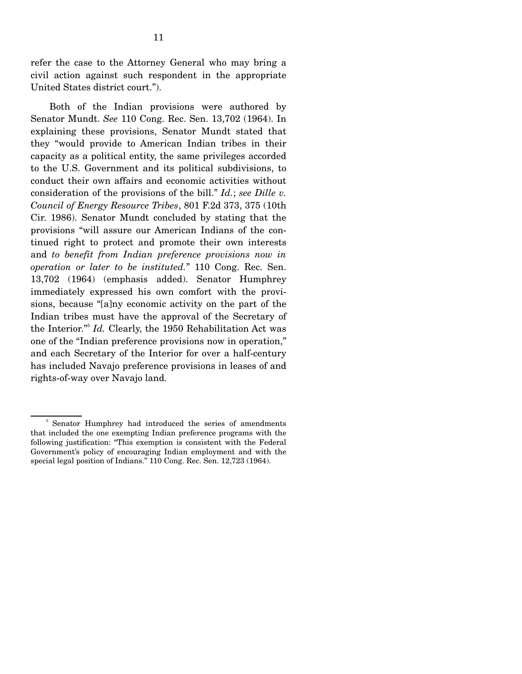refer the case to the Attorney General who may bring a civil action against such respondent in the appropriate United States district court.").

 Both of the Indian provisions were authored by Senator Mundt. *See* 110 Cong. Rec. Sen. 13,702 (1964). In explaining these provisions, Senator Mundt stated that they "would provide to American Indian tribes in their capacity as a political entity, the same privileges accorded to the U.S. Government and its political subdivisions, to conduct their own affairs and economic activities without consideration of the provisions of the bill." *Id.*; *see Dille v. Council of Energy Resource Tribes*, 801 F.2d 373, 375 (10th Cir. 1986). Senator Mundt concluded by stating that the provisions "will assure our American Indians of the continued right to protect and promote their own interests and *to benefit from Indian preference provisions now in operation or later to be instituted.*" 110 Cong. Rec. Sen. 13,702 (1964) (emphasis added). Senator Humphrey immediately expressed his own comfort with the provisions, because "[a]ny economic activity on the part of the Indian tribes must have the approval of the Secretary of the Interior."<sup>5</sup> Id. Clearly, the 1950 Rehabilitation Act was one of the "Indian preference provisions now in operation," and each Secretary of the Interior for over a half-century has included Navajo preference provisions in leases of and rights-of-way over Navajo land.

<sup>5</sup> Senator Humphrey had introduced the series of amendments that included the one exempting Indian preference programs with the following justification: "This exemption is consistent with the Federal Government's policy of encouraging Indian employment and with the special legal position of Indians." 110 Cong. Rec. Sen. 12,723 (1964).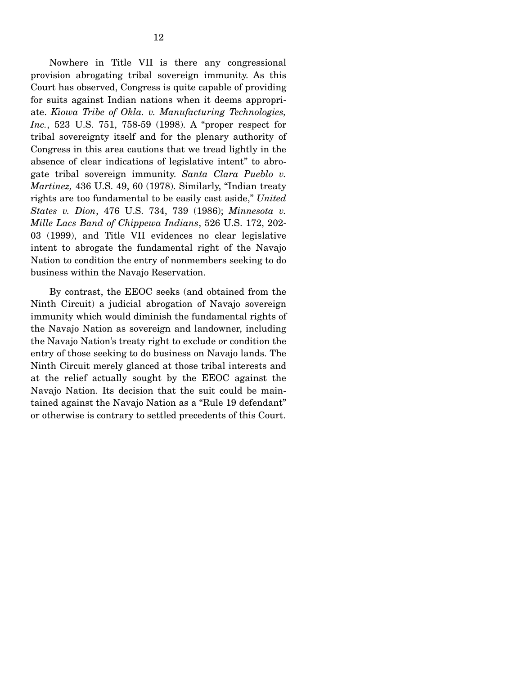Nowhere in Title VII is there any congressional provision abrogating tribal sovereign immunity. As this Court has observed, Congress is quite capable of providing for suits against Indian nations when it deems appropriate. *Kiowa Tribe of Okla. v. Manufacturing Technologies, Inc.*, 523 U.S. 751, 758-59 (1998). A "proper respect for tribal sovereignty itself and for the plenary authority of Congress in this area cautions that we tread lightly in the absence of clear indications of legislative intent" to abrogate tribal sovereign immunity. *Santa Clara Pueblo v. Martinez,* 436 U.S. 49, 60 (1978). Similarly, "Indian treaty rights are too fundamental to be easily cast aside," *United States v. Dion*, 476 U.S. 734, 739 (1986); *Minnesota v. Mille Lacs Band of Chippewa Indians*, 526 U.S. 172, 202- 03 (1999), and Title VII evidences no clear legislative intent to abrogate the fundamental right of the Navajo Nation to condition the entry of nonmembers seeking to do business within the Navajo Reservation.

 By contrast, the EEOC seeks (and obtained from the Ninth Circuit) a judicial abrogation of Navajo sovereign immunity which would diminish the fundamental rights of the Navajo Nation as sovereign and landowner, including the Navajo Nation's treaty right to exclude or condition the entry of those seeking to do business on Navajo lands. The Ninth Circuit merely glanced at those tribal interests and at the relief actually sought by the EEOC against the Navajo Nation. Its decision that the suit could be maintained against the Navajo Nation as a "Rule 19 defendant" or otherwise is contrary to settled precedents of this Court.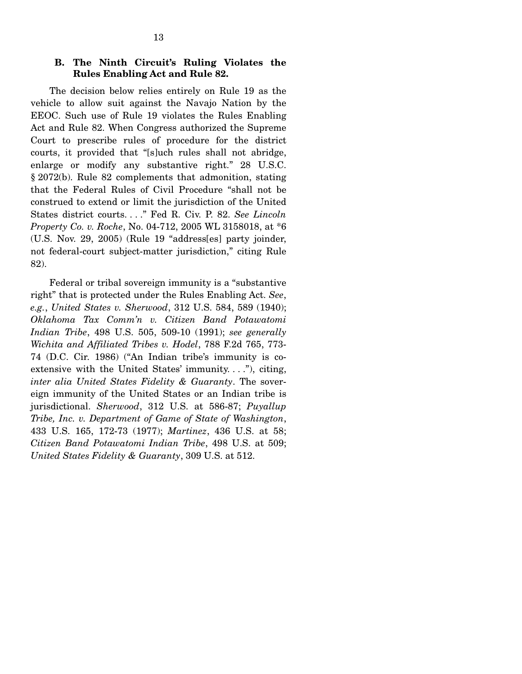#### **B. The Ninth Circuit's Ruling Violates the Rules Enabling Act and Rule 82.**

 The decision below relies entirely on Rule 19 as the vehicle to allow suit against the Navajo Nation by the EEOC. Such use of Rule 19 violates the Rules Enabling Act and Rule 82. When Congress authorized the Supreme Court to prescribe rules of procedure for the district courts, it provided that "[s]uch rules shall not abridge, enlarge or modify any substantive right." 28 U.S.C. § 2072(b). Rule 82 complements that admonition, stating that the Federal Rules of Civil Procedure "shall not be construed to extend or limit the jurisdiction of the United States district courts. . . ." Fed R. Civ. P. 82. *See Lincoln Property Co. v. Roche*, No. 04-712, 2005 WL 3158018, at \*6 (U.S. Nov. 29, 2005) (Rule 19 "address[es] party joinder, not federal-court subject-matter jurisdiction," citing Rule 82).

 Federal or tribal sovereign immunity is a "substantive right" that is protected under the Rules Enabling Act. *See*, *e.g.*, *United States v. Sherwood*, 312 U.S. 584, 589 (1940); *Oklahoma Tax Comm'n v. Citizen Band Potawatomi Indian Tribe*, 498 U.S. 505, 509-10 (1991); *see generally Wichita and Affiliated Tribes v. Hodel*, 788 F.2d 765, 773- 74 (D.C. Cir. 1986) ("An Indian tribe's immunity is coextensive with the United States' immunity....", citing, *inter alia United States Fidelity & Guaranty*. The sovereign immunity of the United States or an Indian tribe is jurisdictional. *Sherwood*, 312 U.S. at 586-87; *Puyallup Tribe, Inc. v. Department of Game of State of Washington*, 433 U.S. 165, 172-73 (1977); *Martinez*, 436 U.S. at 58; *Citizen Band Potawatomi Indian Tribe*, 498 U.S. at 509; *United States Fidelity & Guaranty*, 309 U.S. at 512.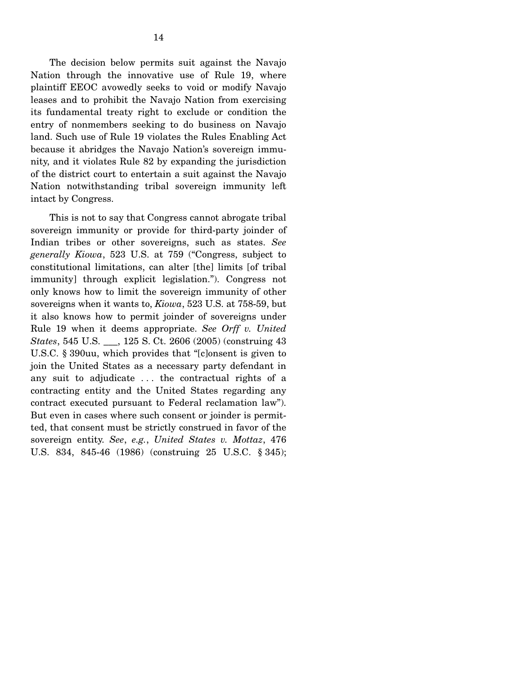The decision below permits suit against the Navajo Nation through the innovative use of Rule 19, where plaintiff EEOC avowedly seeks to void or modify Navajo leases and to prohibit the Navajo Nation from exercising its fundamental treaty right to exclude or condition the entry of nonmembers seeking to do business on Navajo land. Such use of Rule 19 violates the Rules Enabling Act because it abridges the Navajo Nation's sovereign immunity, and it violates Rule 82 by expanding the jurisdiction of the district court to entertain a suit against the Navajo Nation notwithstanding tribal sovereign immunity left intact by Congress.

 This is not to say that Congress cannot abrogate tribal sovereign immunity or provide for third-party joinder of Indian tribes or other sovereigns, such as states. *See generally Kiowa*, 523 U.S. at 759 ("Congress, subject to constitutional limitations, can alter [the] limits [of tribal immunity] through explicit legislation."). Congress not only knows how to limit the sovereign immunity of other sovereigns when it wants to, *Kiowa*, 523 U.S. at 758-59, but it also knows how to permit joinder of sovereigns under Rule 19 when it deems appropriate. *See Orff v. United States*, 545 U.S. \_\_\_, 125 S. Ct. 2606 (2005) (construing 43 U.S.C. § 390uu, which provides that "[c]onsent is given to join the United States as a necessary party defendant in any suit to adjudicate . . . the contractual rights of a contracting entity and the United States regarding any contract executed pursuant to Federal reclamation law"). But even in cases where such consent or joinder is permitted, that consent must be strictly construed in favor of the sovereign entity. *See*, *e.g.*, *United States v. Mottaz*, 476 U.S. 834, 845-46 (1986) (construing 25 U.S.C. § 345);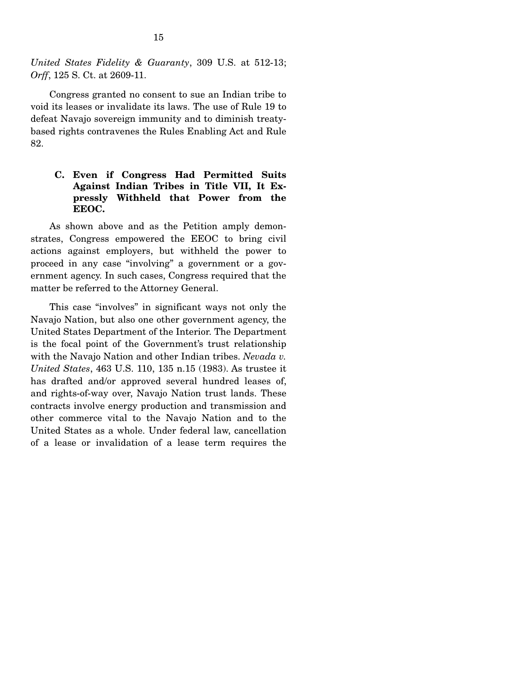*United States Fidelity & Guaranty*, 309 U.S. at 512-13; *Orff*, 125 S. Ct. at 2609-11.

 Congress granted no consent to sue an Indian tribe to void its leases or invalidate its laws. The use of Rule 19 to defeat Navajo sovereign immunity and to diminish treatybased rights contravenes the Rules Enabling Act and Rule 82.

## **C. Even if Congress Had Permitted Suits Against Indian Tribes in Title VII, It Expressly Withheld that Power from the EEOC.**

 As shown above and as the Petition amply demonstrates, Congress empowered the EEOC to bring civil actions against employers, but withheld the power to proceed in any case "involving" a government or a government agency. In such cases, Congress required that the matter be referred to the Attorney General.

 This case "involves" in significant ways not only the Navajo Nation, but also one other government agency, the United States Department of the Interior. The Department is the focal point of the Government's trust relationship with the Navajo Nation and other Indian tribes. *Nevada v. United States*, 463 U.S. 110, 135 n.15 (1983). As trustee it has drafted and/or approved several hundred leases of, and rights-of-way over, Navajo Nation trust lands. These contracts involve energy production and transmission and other commerce vital to the Navajo Nation and to the United States as a whole. Under federal law, cancellation of a lease or invalidation of a lease term requires the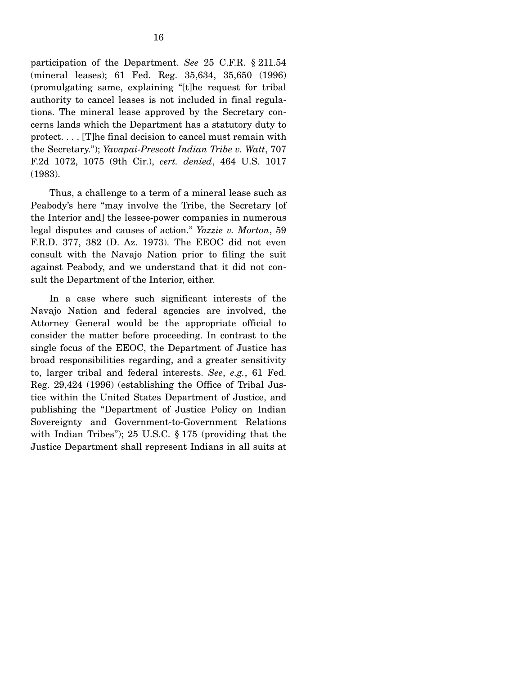participation of the Department. *See* 25 C.F.R. § 211.54 (mineral leases); 61 Fed. Reg. 35,634, 35,650 (1996) (promulgating same, explaining "[t]he request for tribal authority to cancel leases is not included in final regulations. The mineral lease approved by the Secretary concerns lands which the Department has a statutory duty to protect. . . . [T]he final decision to cancel must remain with the Secretary."); *Yavapai-Prescott Indian Tribe v. Watt*, 707 F.2d 1072, 1075 (9th Cir.), *cert. denied*, 464 U.S. 1017 (1983).

 Thus, a challenge to a term of a mineral lease such as Peabody's here "may involve the Tribe, the Secretary [of the Interior and] the lessee-power companies in numerous legal disputes and causes of action." *Yazzie v. Morton*, 59 F.R.D. 377, 382 (D. Az. 1973). The EEOC did not even consult with the Navajo Nation prior to filing the suit against Peabody, and we understand that it did not consult the Department of the Interior, either.

 In a case where such significant interests of the Navajo Nation and federal agencies are involved, the Attorney General would be the appropriate official to consider the matter before proceeding. In contrast to the single focus of the EEOC, the Department of Justice has broad responsibilities regarding, and a greater sensitivity to, larger tribal and federal interests. *See*, *e.g.*, 61 Fed. Reg. 29,424 (1996) (establishing the Office of Tribal Justice within the United States Department of Justice, and publishing the "Department of Justice Policy on Indian Sovereignty and Government-to-Government Relations with Indian Tribes"); 25 U.S.C. § 175 (providing that the Justice Department shall represent Indians in all suits at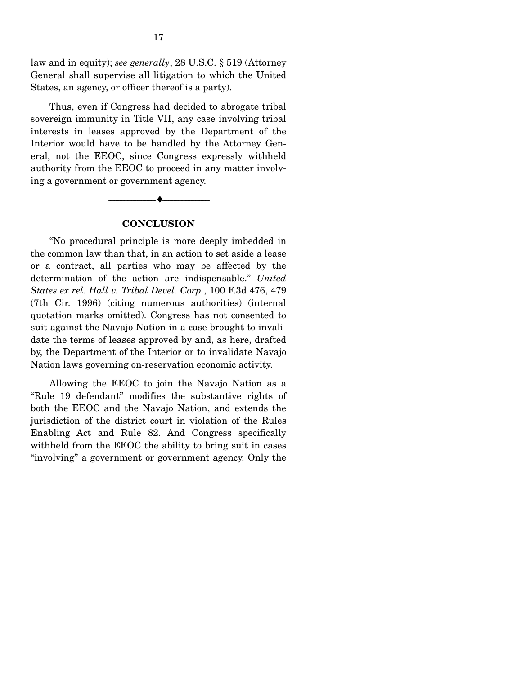law and in equity); *see generally*, 28 U.S.C. § 519 (Attorney General shall supervise all litigation to which the United States, an agency, or officer thereof is a party).

 Thus, even if Congress had decided to abrogate tribal sovereign immunity in Title VII, any case involving tribal interests in leases approved by the Department of the Interior would have to be handled by the Attorney General, not the EEOC, since Congress expressly withheld authority from the EEOC to proceed in any matter involving a government or government agency.

#### **CONCLUSION**

--------------------------------- ♦ ---------------------------------

 "No procedural principle is more deeply imbedded in the common law than that, in an action to set aside a lease or a contract, all parties who may be affected by the determination of the action are indispensable." *United States ex rel. Hall v. Tribal Devel. Corp.*, 100 F.3d 476, 479 (7th Cir. 1996) (citing numerous authorities) (internal quotation marks omitted). Congress has not consented to suit against the Navajo Nation in a case brought to invalidate the terms of leases approved by and, as here, drafted by, the Department of the Interior or to invalidate Navajo Nation laws governing on-reservation economic activity.

 Allowing the EEOC to join the Navajo Nation as a "Rule 19 defendant" modifies the substantive rights of both the EEOC and the Navajo Nation, and extends the jurisdiction of the district court in violation of the Rules Enabling Act and Rule 82. And Congress specifically withheld from the EEOC the ability to bring suit in cases "involving" a government or government agency. Only the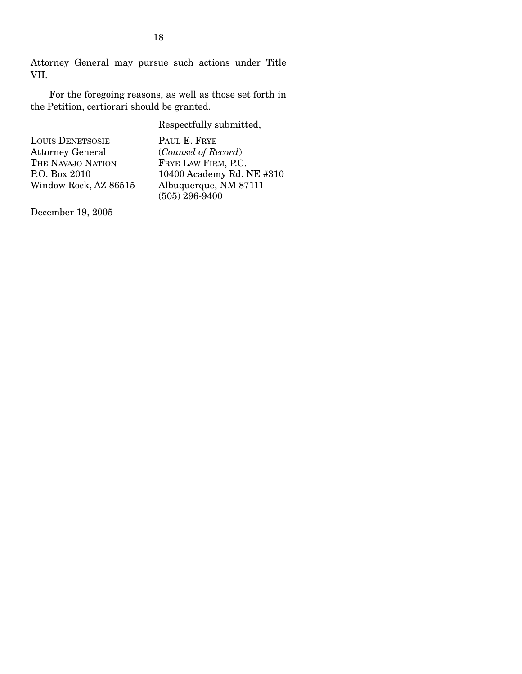Attorney General may pursue such actions under Title VII.

 For the foregoing reasons, as well as those set forth in the Petition, certiorari should be granted.

Respectfully submitted,

| <b>LOUIS DENETSOSIE</b> | PAUL E. FRYE              |
|-------------------------|---------------------------|
| <b>Attorney General</b> | (Counsel of Record)       |
| THE NAVAJO NATION       | FRYE LAW FIRM, P.C.       |
| P.O. Box 2010           | 10400 Academy Rd. NE #310 |
| Window Rock, AZ 86515   | Albuquerque, NM 87111     |
|                         | $(505)$ 296-9400          |

December 19, 2005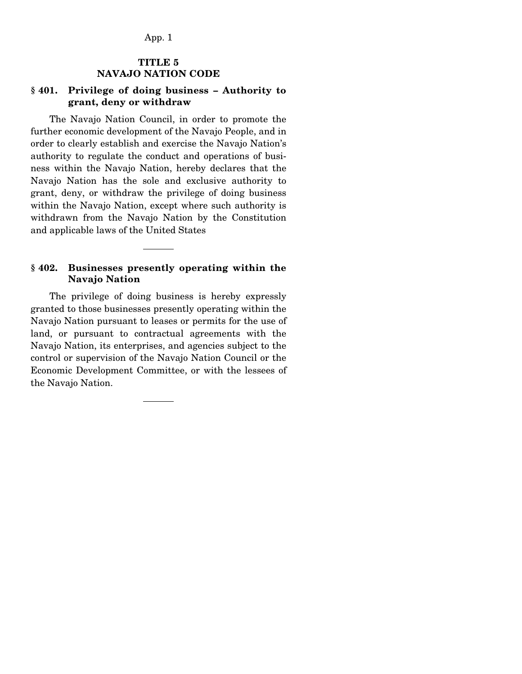## **TITLE 5 NAVAJO NATION CODE**

### **§ 401. Privilege of doing business – Authority to grant, deny or withdraw**

 The Navajo Nation Council, in order to promote the further economic development of the Navajo People, and in order to clearly establish and exercise the Navajo Nation's authority to regulate the conduct and operations of business within the Navajo Nation, hereby declares that the Navajo Nation has the sole and exclusive authority to grant, deny, or withdraw the privilege of doing business within the Navajo Nation, except where such authority is withdrawn from the Navajo Nation by the Constitution and applicable laws of the United States

### **§ 402. Businesses presently operating within the Navajo Nation**

 The privilege of doing business is hereby expressly granted to those businesses presently operating within the Navajo Nation pursuant to leases or permits for the use of land, or pursuant to contractual agreements with the Navajo Nation, its enterprises, and agencies subject to the control or supervision of the Navajo Nation Council or the Economic Development Committee, or with the lessees of the Navajo Nation.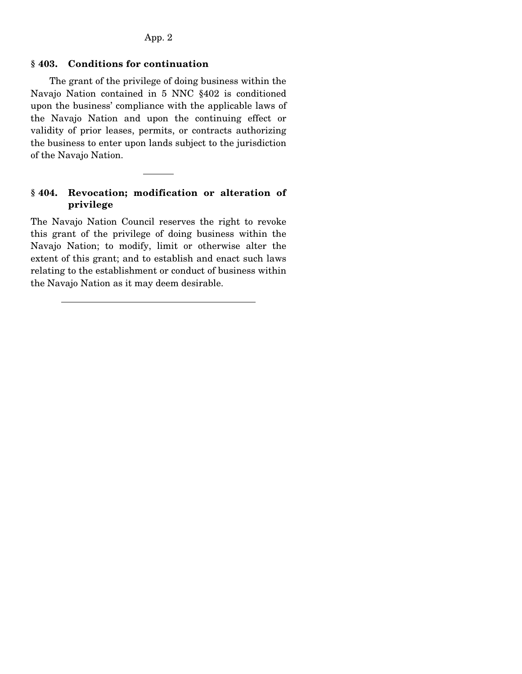## **§ 403. Conditions for continuation**

 The grant of the privilege of doing business within the Navajo Nation contained in 5 NNC §402 is conditioned upon the business' compliance with the applicable laws of the Navajo Nation and upon the continuing effect or validity of prior leases, permits, or contracts authorizing the business to enter upon lands subject to the jurisdiction of the Navajo Nation.

## **§ 404. Revocation; modification or alteration of privilege**

The Navajo Nation Council reserves the right to revoke this grant of the privilege of doing business within the Navajo Nation; to modify, limit or otherwise alter the extent of this grant; and to establish and enact such laws relating to the establishment or conduct of business within the Navajo Nation as it may deem desirable.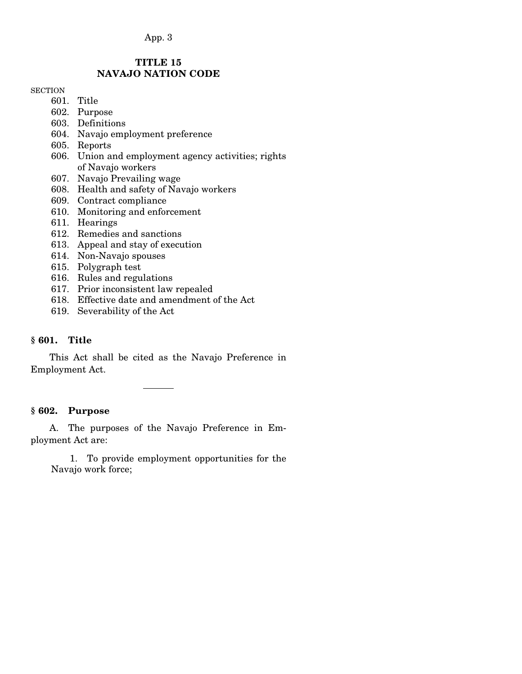## App. 3

## **TITLE 15 NAVAJO NATION CODE**

#### **SECTION**

- 601. Title
- 602. Purpose
- 603. Definitions
- 604. Navajo employment preference
- 605. Reports
- 606. Union and employment agency activities; rights of Navajo workers
- 607. Navajo Prevailing wage
- 608. Health and safety of Navajo workers
- 609. Contract compliance
- 610. Monitoring and enforcement
- 611. Hearings
- 612. Remedies and sanctions
- 613. Appeal and stay of execution
- 614. Non-Navajo spouses
- 615. Polygraph test
- 616. Rules and regulations
- 617. Prior inconsistent law repealed
- 618. Effective date and amendment of the Act
- 619. Severability of the Act

#### **§ 601. Title**

 This Act shall be cited as the Navajo Preference in Employment Act.

#### **§ 602. Purpose**

 A. The purposes of the Navajo Preference in Employment Act are:

 1. To provide employment opportunities for the Navajo work force;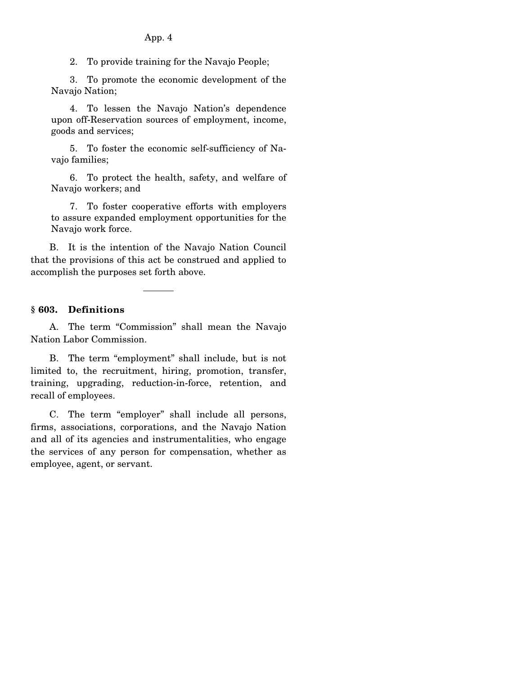2. To provide training for the Navajo People;

 3. To promote the economic development of the Navajo Nation;

 4. To lessen the Navajo Nation's dependence upon off-Reservation sources of employment, income, goods and services;

 5. To foster the economic self-sufficiency of Navajo families;

 6. To protect the health, safety, and welfare of Navajo workers; and

 7. To foster cooperative efforts with employers to assure expanded employment opportunities for the Navajo work force.

 B. It is the intention of the Navajo Nation Council that the provisions of this act be construed and applied to accomplish the purposes set forth above.

### **§ 603. Definitions**

 A. The term "Commission" shall mean the Navajo Nation Labor Commission.

 B. The term "employment" shall include, but is not limited to, the recruitment, hiring, promotion, transfer, training, upgrading, reduction-in-force, retention, and recall of employees.

 C. The term "employer" shall include all persons, firms, associations, corporations, and the Navajo Nation and all of its agencies and instrumentalities, who engage the services of any person for compensation, whether as employee, agent, or servant.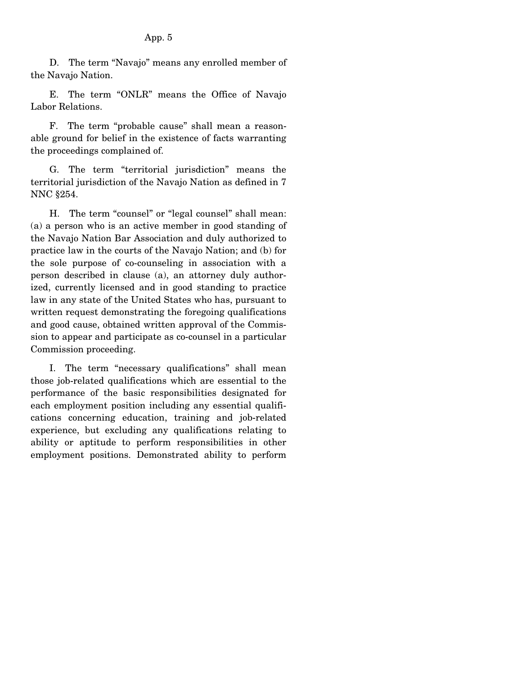D. The term "Navajo" means any enrolled member of the Navajo Nation.

 E. The term "ONLR" means the Office of Navajo Labor Relations.

 F. The term "probable cause" shall mean a reasonable ground for belief in the existence of facts warranting the proceedings complained of.

 G. The term "territorial jurisdiction" means the territorial jurisdiction of the Navajo Nation as defined in 7 NNC §254.

 H. The term "counsel" or "legal counsel" shall mean: (a) a person who is an active member in good standing of the Navajo Nation Bar Association and duly authorized to practice law in the courts of the Navajo Nation; and (b) for the sole purpose of co-counseling in association with a person described in clause (a), an attorney duly authorized, currently licensed and in good standing to practice law in any state of the United States who has, pursuant to written request demonstrating the foregoing qualifications and good cause, obtained written approval of the Commission to appear and participate as co-counsel in a particular Commission proceeding.

 I. The term "necessary qualifications" shall mean those job-related qualifications which are essential to the performance of the basic responsibilities designated for each employment position including any essential qualifications concerning education, training and job-related experience, but excluding any qualifications relating to ability or aptitude to perform responsibilities in other employment positions. Demonstrated ability to perform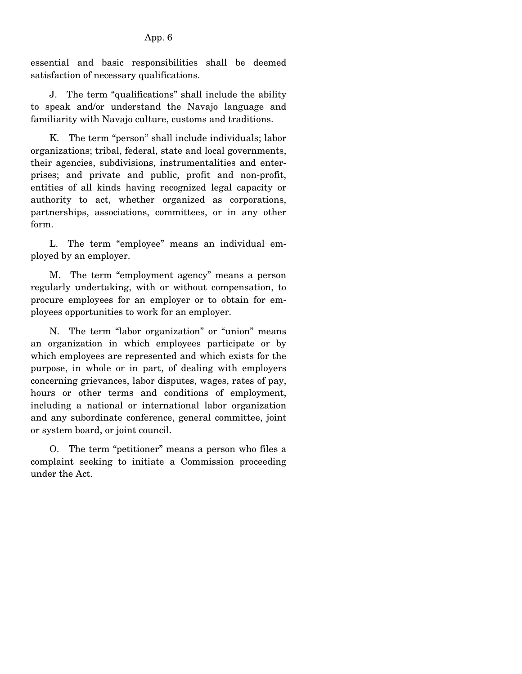essential and basic responsibilities shall be deemed satisfaction of necessary qualifications.

 J. The term "qualifications" shall include the ability to speak and/or understand the Navajo language and familiarity with Navajo culture, customs and traditions.

 K. The term "person" shall include individuals; labor organizations; tribal, federal, state and local governments, their agencies, subdivisions, instrumentalities and enterprises; and private and public, profit and non-profit, entities of all kinds having recognized legal capacity or authority to act, whether organized as corporations, partnerships, associations, committees, or in any other form.

 L. The term "employee" means an individual employed by an employer.

 M. The term "employment agency" means a person regularly undertaking, with or without compensation, to procure employees for an employer or to obtain for employees opportunities to work for an employer.

 N. The term "labor organization" or "union" means an organization in which employees participate or by which employees are represented and which exists for the purpose, in whole or in part, of dealing with employers concerning grievances, labor disputes, wages, rates of pay, hours or other terms and conditions of employment, including a national or international labor organization and any subordinate conference, general committee, joint or system board, or joint council.

 O. The term "petitioner" means a person who files a complaint seeking to initiate a Commission proceeding under the Act.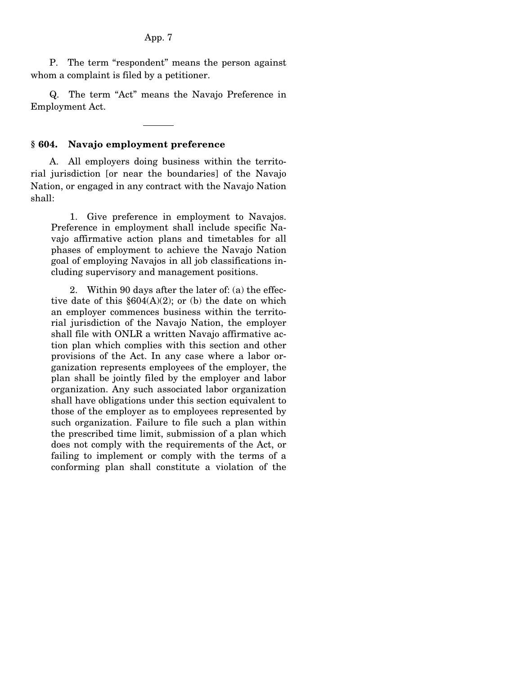P. The term "respondent" means the person against whom a complaint is filed by a petitioner.

 Q. The term "Act" means the Navajo Preference in Employment Act.

#### **§ 604. Navajo employment preference**

 A. All employers doing business within the territorial jurisdiction [or near the boundaries] of the Navajo Nation, or engaged in any contract with the Navajo Nation shall:

 1. Give preference in employment to Navajos. Preference in employment shall include specific Navajo affirmative action plans and timetables for all phases of employment to achieve the Navajo Nation goal of employing Navajos in all job classifications including supervisory and management positions.

 2. Within 90 days after the later of: (a) the effective date of this  $$604(A)(2)$ ; or (b) the date on which an employer commences business within the territorial jurisdiction of the Navajo Nation, the employer shall file with ONLR a written Navajo affirmative action plan which complies with this section and other provisions of the Act. In any case where a labor organization represents employees of the employer, the plan shall be jointly filed by the employer and labor organization. Any such associated labor organization shall have obligations under this section equivalent to those of the employer as to employees represented by such organization. Failure to file such a plan within the prescribed time limit, submission of a plan which does not comply with the requirements of the Act, or failing to implement or comply with the terms of a conforming plan shall constitute a violation of the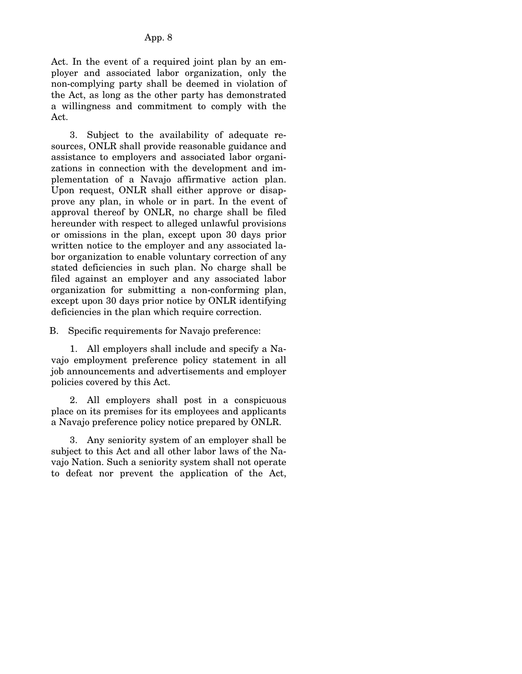Act. In the event of a required joint plan by an employer and associated labor organization, only the non-complying party shall be deemed in violation of the Act, as long as the other party has demonstrated a willingness and commitment to comply with the Act.

 3. Subject to the availability of adequate resources, ONLR shall provide reasonable guidance and assistance to employers and associated labor organizations in connection with the development and implementation of a Navajo affirmative action plan. Upon request, ONLR shall either approve or disapprove any plan, in whole or in part. In the event of approval thereof by ONLR, no charge shall be filed hereunder with respect to alleged unlawful provisions or omissions in the plan, except upon 30 days prior written notice to the employer and any associated labor organization to enable voluntary correction of any stated deficiencies in such plan. No charge shall be filed against an employer and any associated labor organization for submitting a non-conforming plan, except upon 30 days prior notice by ONLR identifying deficiencies in the plan which require correction.

B. Specific requirements for Navajo preference:

 1. All employers shall include and specify a Navajo employment preference policy statement in all job announcements and advertisements and employer policies covered by this Act.

 2. All employers shall post in a conspicuous place on its premises for its employees and applicants a Navajo preference policy notice prepared by ONLR.

 3. Any seniority system of an employer shall be subject to this Act and all other labor laws of the Navajo Nation. Such a seniority system shall not operate to defeat nor prevent the application of the Act,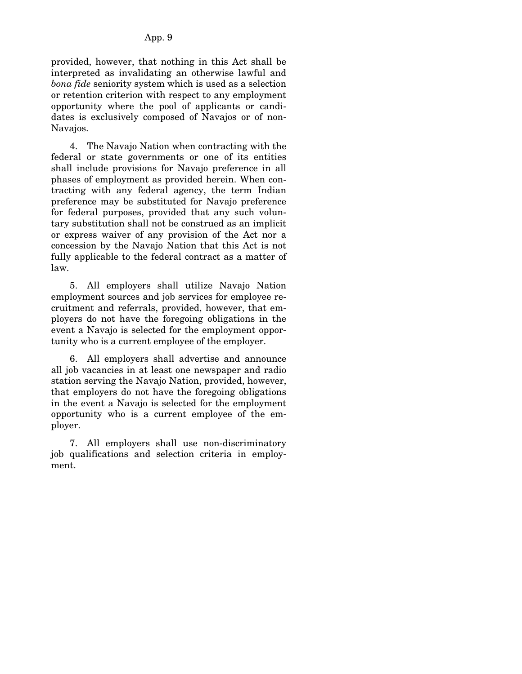provided, however, that nothing in this Act shall be interpreted as invalidating an otherwise lawful and *bona fide* seniority system which is used as a selection or retention criterion with respect to any employment opportunity where the pool of applicants or candidates is exclusively composed of Navajos or of non-Navajos.

 4. The Navajo Nation when contracting with the federal or state governments or one of its entities shall include provisions for Navajo preference in all phases of employment as provided herein. When contracting with any federal agency, the term Indian preference may be substituted for Navajo preference for federal purposes, provided that any such voluntary substitution shall not be construed as an implicit or express waiver of any provision of the Act nor a concession by the Navajo Nation that this Act is not fully applicable to the federal contract as a matter of law.

 5. All employers shall utilize Navajo Nation employment sources and job services for employee recruitment and referrals, provided, however, that employers do not have the foregoing obligations in the event a Navajo is selected for the employment opportunity who is a current employee of the employer.

 6. All employers shall advertise and announce all job vacancies in at least one newspaper and radio station serving the Navajo Nation, provided, however, that employers do not have the foregoing obligations in the event a Navajo is selected for the employment opportunity who is a current employee of the employer.

 7. All employers shall use non-discriminatory job qualifications and selection criteria in employment.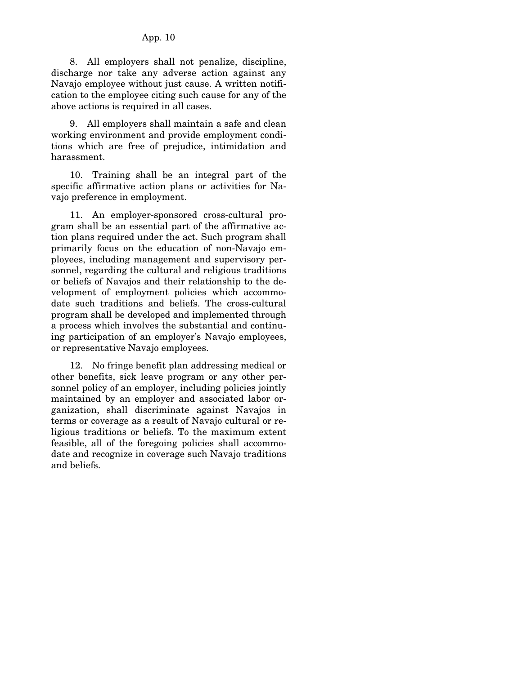#### App. 10

 8. All employers shall not penalize, discipline, discharge nor take any adverse action against any Navajo employee without just cause. A written notification to the employee citing such cause for any of the above actions is required in all cases.

 9. All employers shall maintain a safe and clean working environment and provide employment conditions which are free of prejudice, intimidation and harassment.

 10. Training shall be an integral part of the specific affirmative action plans or activities for Navajo preference in employment.

 11. An employer-sponsored cross-cultural program shall be an essential part of the affirmative action plans required under the act. Such program shall primarily focus on the education of non-Navajo employees, including management and supervisory personnel, regarding the cultural and religious traditions or beliefs of Navajos and their relationship to the development of employment policies which accommodate such traditions and beliefs. The cross-cultural program shall be developed and implemented through a process which involves the substantial and continuing participation of an employer's Navajo employees, or representative Navajo employees.

 12. No fringe benefit plan addressing medical or other benefits, sick leave program or any other personnel policy of an employer, including policies jointly maintained by an employer and associated labor organization, shall discriminate against Navajos in terms or coverage as a result of Navajo cultural or religious traditions or beliefs. To the maximum extent feasible, all of the foregoing policies shall accommodate and recognize in coverage such Navajo traditions and beliefs.